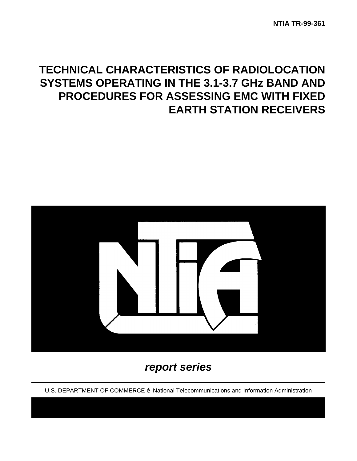# **TECHNICAL CHARACTERISTICS OF RADIOLOCATION SYSTEMS OPERATING IN THE 3.1-3.7 GHz BAND AND PROCEDURES FOR ASSESSING EMC WITH FIXED EARTH STATION RECEIVERS**



## *report series*

U.S. DEPARTMENT OF COMMERCE Ž National Telecommunications and Information Administration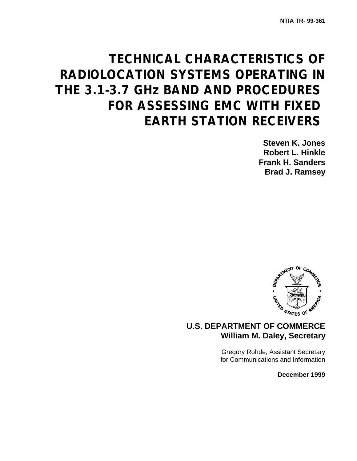# **TECHNICAL CHARACTERISTICS OF RADIOLOCATION SYSTEMS OPERATING IN THE 3.1-3.7 GHz BAND AND PROCEDURES FOR ASSESSING EMC WITH FIXED EARTH STATION RECEIVERS**

**Steven K. Jones Robert L. Hinkle Frank H. Sanders Brad J. Ramsey**



## **U.S. DEPARTMENT OF COMMERCE William M. Daley, Secretary**

Gregory Rohde, Assistant Secretary for Communications and Information

**December 1999**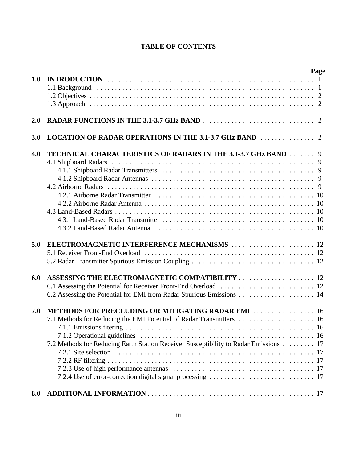## **TABLE OF CONTENTS**

|            |                                                                                                                                            | Page |
|------------|--------------------------------------------------------------------------------------------------------------------------------------------|------|
| 1.0        |                                                                                                                                            |      |
|            |                                                                                                                                            |      |
| 2.0        |                                                                                                                                            |      |
| <b>3.0</b> |                                                                                                                                            |      |
| 4.0        | TECHNICAL CHARACTERISTICS OF RADARS IN THE 3.1-3.7 GHz BAND  9                                                                             |      |
| 5.0        | ELECTROMAGNETIC INTERFERENCE MECHANISMS  12                                                                                                |      |
| 6.0        | ASSESSING THE ELECTROMAGNETIC COMPATIBILITY  12<br>6.2 Assessing the Potential for EMI from Radar Spurious Emissions  14                   |      |
| 7.0        | METHODS FOR PRECLUDING OR MITIGATING RADAR EMI  16<br>7.2 Methods for Reducing Earth Station Receiver Susceptibility to Radar Emissions 17 |      |
| 8.0        |                                                                                                                                            |      |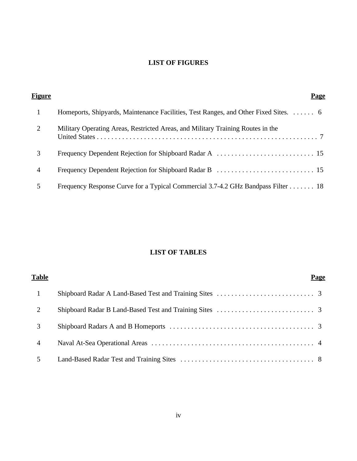## **LIST OF FIGURES**

| Figure | Page                                                                                 |
|--------|--------------------------------------------------------------------------------------|
|        | Homeports, Shipyards, Maintenance Facilities, Test Ranges, and Other Fixed Sites.  6 |
| 2      | Military Operating Areas, Restricted Areas, and Military Training Routes in the      |
| 3      |                                                                                      |
| 4      |                                                                                      |
|        | Frequency Response Curve for a Typical Commercial 3.7-4.2 GHz Bandpass Filter 18     |

## **LIST OF TABLES**

| <b>Table</b>                | Page |
|-----------------------------|------|
|                             |      |
| $\mathcal{D}_{\mathcal{L}}$ |      |
| 3                           |      |
| $\overline{4}$              |      |
| 5                           |      |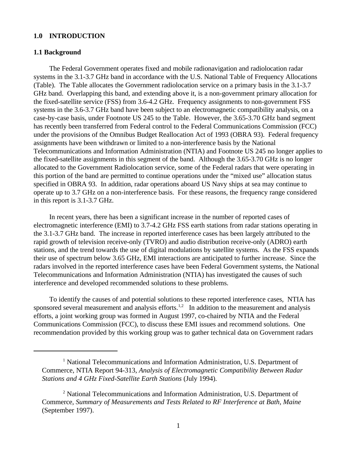#### **1.0 INTRODUCTION**

#### **1.1 Background**

The Federal Government operates fixed and mobile radionavigation and radiolocation radar systems in the 3.1-3.7 GHz band in accordance with the U.S. National Table of Frequency Allocations (Table). The Table allocates the Government radiolocation service on a primary basis in the 3.1-3.7 GHz band. Overlapping this band, and extending above it, is a non-government primary allocation for the fixed-satellite service (FSS) from 3.6-4.2 GHz. Frequency assignments to non-government FSS systems in the 3.6-3.7 GHz band have been subject to an electromagnetic compatibility analysis, on a case-by-case basis, under Footnote US 245 to the Table. However, the 3.65-3.70 GHz band segment has recently been transferred from Federal control to the Federal Communications Commission (FCC) under the provisions of the Omnibus Budget Reallocation Act of 1993 (OBRA 93). Federal frequency assignments have been withdrawn or limited to a non-interference basis by the National Telecommunications and Information Administration (NTIA) and Footnote US 245 no longer applies to the fixed-satellite assignments in this segment of the band. Although the 3.65-3.70 GHz is no longer allocated to the Government Radiolocation service, some of the Federal radars that were operating in this portion of the band are permitted to continue operations under the "mixed use" allocation status specified in OBRA 93. In addition, radar operations aboard US Navy ships at sea may continue to operate up to 3.7 GHz on a non-interference basis. For these reasons, the frequency range considered in this report is 3.1-3.7 GHz.

In recent years, there has been a significant increase in the number of reported cases of electromagnetic interference (EMI) to 3.7-4.2 GHz FSS earth stations from radar stations operating in the 3.1-3.7 GHz band. The increase in reported interference cases has been largely attributed to the rapid growth of television receive-only (TVRO) and audio distribution receive-only (ADRO) earth stations, and the trend towards the use of digital modulations by satellite systems. As the FSS expands their use of spectrum below 3.65 GHz, EMI interactions are anticipated to further increase. Since the radars involved in the reported interference cases have been Federal Government systems, the National Telecommunications and Information Administration (NTIA) has investigated the causes of such interference and developed recommended solutions to these problems.

To identify the causes of and potential solutions to these reported interference cases, NTIA has sponsored several measurement and analysis efforts.<sup>1,2</sup> In addition to the measurement and analysis efforts, a joint working group was formed in August 1997, co-chaired by NTIA and the Federal Communications Commission (FCC), to discuss these EMI issues and recommend solutions. One recommendation provided by this working group was to gather technical data on Government radars

<sup>&</sup>lt;sup>1</sup> National Telecommunications and Information Administration, U.S. Department of Commerce, NTIA Report 94-313, *Analysis of Electromagnetic Compatibility Between Radar Stations and 4 GHz Fixed-Satellite Earth Stations* (July 1994).

<sup>&</sup>lt;sup>2</sup> National Telecommunications and Information Administration, U.S. Department of Commerce, *Summary of Measurements and Tests Related to RF Interference at Bath, Maine* (September 1997).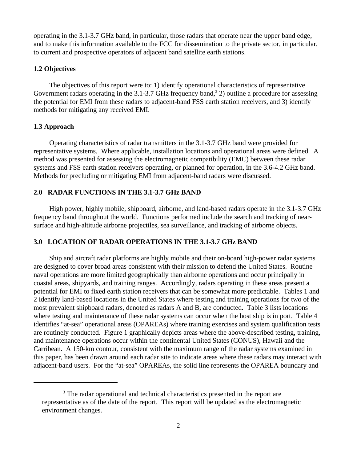operating in the 3.1-3.7 GHz band, in particular, those radars that operate near the upper band edge, and to make this information available to the FCC for dissemination to the private sector, in particular, to current and prospective operators of adjacent band satellite earth stations.

#### **1.2 Objectives**

The objectives of this report were to: 1) identify operational characteristics of representative Government radars operating in the 3.1-3.7 GHz frequency band,  $3$  2) outline a procedure for assessing the potential for EMI from these radars to adjacent-band FSS earth station receivers, and 3) identify methods for mitigating any received EMI.

#### **1.3 Approach**

Operating characteristics of radar transmitters in the 3.1-3.7 GHz band were provided for representative systems. Where applicable, installation locations and operational areas were defined. A method was presented for assessing the electromagnetic compatibility (EMC) between these radar systems and FSS earth station receivers operating, or planned for operation, in the 3.6-4.2 GHz band. Methods for precluding or mitigating EMI from adjacent-band radars were discussed.

#### **2.0 RADAR FUNCTIONS IN THE 3.1-3.7 GHz BAND**

High power, highly mobile, shipboard, airborne, and land-based radars operate in the 3.1-3.7 GHz frequency band throughout the world. Functions performed include the search and tracking of nearsurface and high-altitude airborne projectiles, sea surveillance, and tracking of airborne objects.

#### **3.0 LOCATION OF RADAR OPERATIONS IN THE 3.1-3.7 GHz BAND**

Ship and aircraft radar platforms are highly mobile and their on-board high-power radar systems are designed to cover broad areas consistent with their mission to defend the United States. Routine naval operations are more limited geographically than airborne operations and occur principally in coastal areas, shipyards, and training ranges. Accordingly, radars operating in these areas present a potential for EMI to fixed earth station receivers that can be somewhat more predictable. Tables 1 and 2 identify land-based locations in the United States where testing and training operations for two of the most prevalent shipboard radars, denoted as radars A and B, are conducted. Table 3 lists locations where testing and maintenance of these radar systems can occur when the host ship is in port. Table 4 identifies "at-sea" operational areas (OPAREAs) where training exercises and system qualification tests are routinely conducted. Figure 1 graphically depicts areas where the above-described testing, training, and maintenance operations occur within the continental United States (CONUS), Hawaii and the Carribean. A 150-km contour, consistent with the maximum range of the radar systems examined in this paper, has been drawn around each radar site to indicate areas where these radars may interact with adjacent-band users. For the "at-sea" OPAREAs, the solid line represents the OPAREA boundary and

<sup>&</sup>lt;sup>3</sup> The radar operational and technical characteristics presented in the report are representative as of the date of the report. This report will be updated as the electromagnetic environment changes.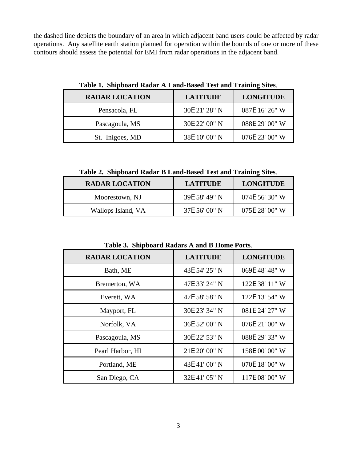the dashed line depicts the boundary of an area in which adjacent band users could be affected by radar operations. Any satellite earth station planned for operation within the bounds of one or more of these contours should assess the potential for EMI from radar operations in the adjacent band.

| <b>RADAR LOCATION</b> | <b>LATITUDE</b> | <b>LONGITUDE</b> |
|-----------------------|-----------------|------------------|
| Pensacola, FL         | 30E 21' 28" N   | 087E 16' 26" W   |
| Pascagoula, MS        | 30E 22' 00" N   | 088E 29' 00" W   |
| St. Inigoes, MD       | 38E 10' 00" N   | 076E 23' 00" W   |

**Table 1. Shipboard Radar A Land-Based Test and Training Sites**.

**Table 2. Shipboard Radar B Land-Based Test and Training Sites**.

| <b>RADAR LOCATION</b> | <b>LATITUDE</b> | <b>LONGITUDE</b> |
|-----------------------|-----------------|------------------|
| Moorestown, NJ        | 39E 58' 49" N   | 074E 56' 30" W   |
| Wallops Island, VA    | 37E 56' 00" N   | 075E 28' 00" W   |

| Tuble of Binpoout a Ruggie in and D Home I of to. |                 |                  |  |
|---------------------------------------------------|-----------------|------------------|--|
| <b>RADAR LOCATION</b>                             | <b>LATITUDE</b> | <b>LONGITUDE</b> |  |
| Bath, ME                                          | 43E 54' 25" N   | 069E 48' 48" W   |  |
| Bremerton, WA                                     | 47E 33' 24" N   | 122E 38' 11" W   |  |
| Everett, WA                                       | 47E 58' 58" N   | 122E 13' 54" W   |  |
| Mayport, FL                                       | 30E 23' 34" N   | 081E 24' 27" W   |  |
| Norfolk, VA                                       | 36E 52' 00" N   | 076E 21' 00" W   |  |
| Pascagoula, MS                                    | 30E 22' 53" N   | 088E 29' 33" W   |  |
| Pearl Harbor, HI                                  | 21E 20' 00" N   | 158E 00' 00" W   |  |
| Portland, ME                                      | 43E 41' 00" N   | 070E 18' 00" W   |  |
| San Diego, CA                                     | 32E 41' 05" N   | 117E 08' 00" W   |  |

**Table 3. Shipboard Radars A and B Home Ports**.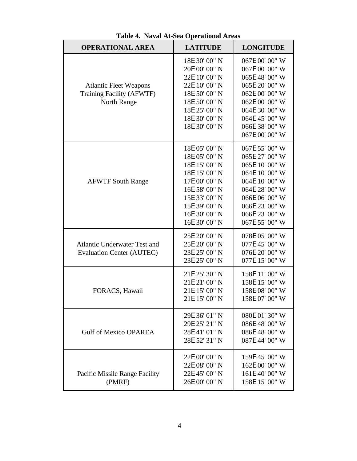| <b>OPERATIONAL AREA</b>                                                   | <b>LATITUDE</b>                                                                                                                                                        | <b>LONGITUDE</b>                                                                                                                                                                 |
|---------------------------------------------------------------------------|------------------------------------------------------------------------------------------------------------------------------------------------------------------------|----------------------------------------------------------------------------------------------------------------------------------------------------------------------------------|
| <b>Atlantic Fleet Weapons</b><br>Training Facility (AFWTF)<br>North Range | 18E 30' 00" N<br>20E 00' 00" N<br>22E 10' 00" N<br>22E 10' 00" N<br>18E 50' 00" N<br>18E 50' 00" N<br>18E 25' 00" N<br>18E 30' 00" N<br>18E 30' 00" N                  | 067E 00' 00" W<br>067E 00' 00" W<br>065E 48' 00" W<br>065E 20' 00" W<br>062E 00' 00" W<br>062E 00' 00" W<br>064E 30' 00" W<br>064E 45' 00" W<br>066E 38' 00" W<br>067E 00' 00" W |
| <b>AFWTF South Range</b>                                                  | 18E 05' 00" N<br>18E 05' 00" N<br>18E 15' 00" N<br>18E 15' 00" N<br>17E 00' 00" N<br>16E 58' 00" N<br>15E 33' 00" N<br>15E 39' 00" N<br>16E 30' 00" N<br>16E 30' 00" N | 067E 55' 00" W<br>065E 27' 00" W<br>065E 10' 00" W<br>064E 10' 00" W<br>064E 10' 00" W<br>064E 28' 00" W<br>066E 06' 00" W<br>066E 23' 00" W<br>066E 23' 00" W<br>067E 55' 00" W |
| <b>Atlantic Underwater Test and</b><br><b>Evaluation Center (AUTEC)</b>   | 25E 20' 00" N<br>25E 20' 00" N<br>23E 25' 00" N<br>23E 25' 00" N                                                                                                       | 078E 05' 00" W<br>077E 45' 00" W<br>076E 20' 00" W<br>077E 15' 00" W                                                                                                             |
| FORACS, Hawaii                                                            | 21E 25' 30" N<br>21E 21' 00" N<br>21E 15' 00" N<br>21E 15' 00" N                                                                                                       | 158E 11' 00" W<br>158E 15' 00" W<br>158E 08' 00" W<br>158E 07' 00" W                                                                                                             |
| <b>Gulf of Mexico OPAREA</b>                                              | 29E 36' 01" N<br>29E 25' 21" N<br>28E 41' 01" N<br>28E 52' 31" N                                                                                                       | 080E 01' 30" W<br>086E 48' 00" W<br>086E 48' 00" W<br>087E 44' 00" W                                                                                                             |
| Pacific Missile Range Facility<br>(PMRF)                                  | 22E 00' 00" N<br>22E 08' 00" N<br>22E 45' 00" N<br>26E 00' 00" N                                                                                                       | 159E 45' 00" W<br>162E 00' 00" W<br>161E 40' 00" W<br>158E 15' 00" W                                                                                                             |

**Table 4. Naval At-Sea Operational Areas**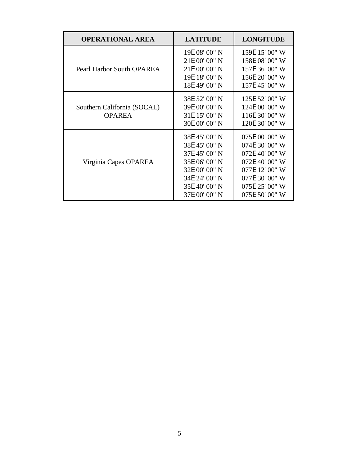| <b>OPERATIONAL AREA</b>                      | <b>LATITUDE</b>                                                                                                                      | <b>LONGITUDE</b>                                                                                                                             |
|----------------------------------------------|--------------------------------------------------------------------------------------------------------------------------------------|----------------------------------------------------------------------------------------------------------------------------------------------|
| Pearl Harbor South OPAREA                    | 19E 08' 00" N<br>21E 00' 00" N<br>21E 00' 00" N<br>19E 18' 00" N<br>18E 49' 00" N                                                    | 159E 15' 00" W<br>158E 08' 00" W<br>157E 36' 00" W<br>156E 20' 00" W<br>157E 45' 00" W                                                       |
| Southern California (SOCAL)<br><b>OPAREA</b> | 38E 52' 00" N<br>39E 00' 00" N<br>31E 15' 00" N<br>30E 00' 00" N                                                                     | 125E 52' 00" W<br>124E 00' 00" W<br>116E 30' 00" W<br>120E 30' 00" W                                                                         |
| Virginia Capes OPAREA                        | 38E 45' 00" N<br>38E 45' 00" N<br>37E 45' 00" N<br>35E 06' 00" N<br>32E 00' 00" N<br>34E 24' 00" N<br>35E 40' 00" N<br>37E 00' 00" N | 075E 00' 00" W<br>074E 30' 00" W<br>072E 40' 00" W<br>072E 40' 00" W<br>077E 12' 00" W<br>077E 30' 00" W<br>075E 25' 00" W<br>075E 50' 00" W |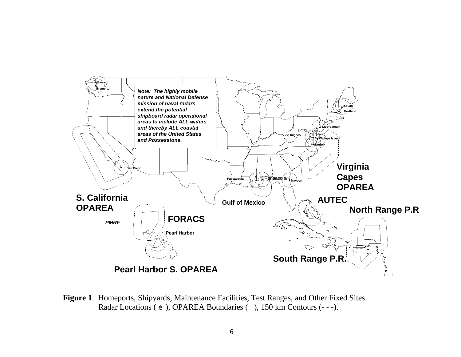

**Figure 1**. Homeports, Shipyards, Maintenance Facilities, Test Ranges, and Other Fixed Sites. Radar Locations ( $\check{z}$ ), OPAREA Boundaries (-), 150 km Contours (---).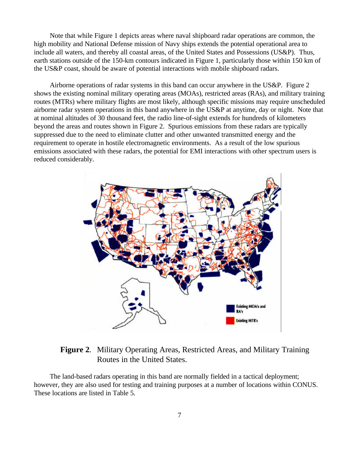Note that while Figure 1 depicts areas where naval shipboard radar operations are common, the high mobility and National Defense mission of Navy ships extends the potential operational area to include all waters, and thereby all coastal areas, of the United States and Possessions (US&P). Thus, earth stations outside of the 150-km contours indicated in Figure 1, particularly those within 150 km of the US&P coast, should be aware of potential interactions with mobile shipboard radars.

Airborne operations of radar systems in this band can occur anywhere in the US&P. Figure 2 shows the existing nominal military operating areas (MOAs), restricted areas (RAs), and military training routes (MTRs) where military flights are most likely, although specific missions may require unscheduled airborne radar system operations in this band anywhere in the US&P at anytime, day or night. Note that at nominal altitudes of 30 thousand feet, the radio line-of-sight extends for hundreds of kilometers beyond the areas and routes shown in Figure 2. Spurious emissions from these radars are typically suppressed due to the need to eliminate clutter and other unwanted transmitted energy and the requirement to operate in hostile electromagnetic environments. As a result of the low spurious emissions associated with these radars, the potential for EMI interactions with other spectrum users is reduced considerably.



### **Figure 2**. Military Operating Areas, Restricted Areas, and Military Training Routes in the United States.

The land-based radars operating in this band are normally fielded in a tactical deployment; however, they are also used for testing and training purposes at a number of locations within CONUS. These locations are listed in Table 5.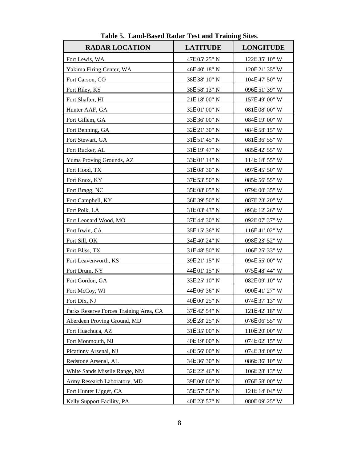| <b>RADAR LOCATION</b>                  | <b>LATITUDE</b> | <b>LONGITUDE</b> |
|----------------------------------------|-----------------|------------------|
| Fort Lewis, WA                         | 47E 05' 25" N   | 122E 35' 10" W   |
| Yakima Firing Center, WA               | 46E 40' 18" N   | 120E 21' 35" W   |
| Fort Carson, CO                        | 38E 38' 10" N   | 104E 47' 50" W   |
| Fort Riley, KS                         | 38E 58' 13" N   | 096E 51' 39" W   |
| Fort Shafter, HI                       | 21E 18' 00" N   | 157E 49' 00" W   |
| Hunter AAF, GA                         | 32E 01' 00" N   | 081E 08' 00" W   |
| Fort Gillem, GA                        | 33E 36' 00" N   | 084E 19' 00" W   |
| Fort Benning, GA                       | 32E 21' 30" N   | 084E 58' 15" W   |
| Fort Stewart, GA                       | 31E 51' 45" N   | 081E 36' 55" W   |
| Fort Rucker, AL                        | 31E 19' 47" N   | 085E 42' 55" W   |
| Yuma Proving Grounds, AZ               | 33E 01' 14" N   | 114E 18' 55" W   |
| Fort Hood, TX                          | 31E 08' 30" N   | 097E 45' 50" W   |
| Fort Knox, KY                          | 37E 53' 50" N   | 085E 56' 55" W   |
| Fort Bragg, NC                         | 35E 08' 05" N   | 079E 00' 35" W   |
| Fort Campbell, KY                      | 36E 39' 50" N   | 087E 28' 20" W   |
| Fort Polk, LA                          | 31E 03' 43" N   | 093E 12' 26" W   |
| Fort Leonard Wood, MO                  | 37E 44' 30" N   | 092E 07' 37" W   |
| Fort Irwin, CA                         | 35E 15' 36" N   | 116E 41' 02" W   |
| Fort Sill, OK                          | 34E 40' 24" N   | 098E 23' 52" W   |
| Fort Bliss, TX                         | 31E 48' 50" N   | 106E 25' 33" W   |
| Fort Leavenworth, KS                   | 39E 21' 15" N   | 094E 55' 00" W   |
| Fort Drum, NY                          | 44E 01' 15" N   | 075E 48' 44" W   |
| Fort Gordon, GA                        | 33E 25' 10" N   | 082E 09' 10" W   |
| Fort McCoy, WI                         | 44E 06' 36" N   | 090E 41' 27" W   |
| Fort Dix, NJ                           | 40E 00' 25" N   | 074E 37' 13" W   |
| Parks Reserve Forces Training Area, CA | 37E 42' 54" N   | 121E 42' 18" W   |
| Aberdeen Proving Ground, MD            | 39E 28' 25" N   | 076E 06' 55" W   |
| Fort Huachuca, AZ                      | 31E 35' 00" N   | 110E 20' 00" W   |
| Fort Monmouth, NJ                      | 40E 19' 00" N   | 074E 02' 15" W   |
| Picatinny Arsenal, NJ                  | 40E 56' 00" N   | 074E 34' 00" W   |
| Redstone Arsenal, AL                   | 34E 36' 30" N   | 086E 36' 10" W   |
| White Sands Missile Range, NM          | 32E 22' 46" N   | 106E 28' 13" W   |
| Army Research Laboratory, MD           | 39E 00' 00" N   | 076E 58' 00" W   |
| Fort Hunter Ligget, CA                 | 35E 57' 56" N   | 121E 14' 04" W   |
| <b>Kelly Support Facility, PA</b>      | 40E 23' 57" N   | 080E 09' 25" W   |

**Table 5. Land-Based Radar Test and Training Sites**.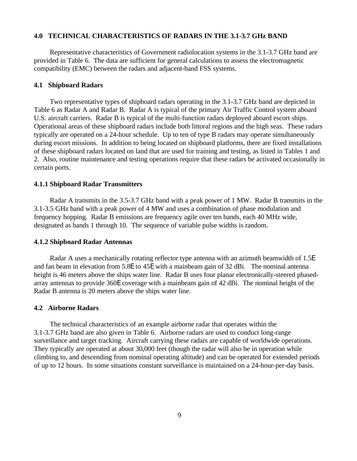#### **4.0 TECHNICAL CHARACTERISTICS OF RADARS IN THE 3.1-3.7 GHz BAND**

Representative characteristics of Government radiolocation systems in the 3.1-3.7 GHz band are provided in Table 6. The data are sufficient for general calculations to assess the electromagnetic compatibility (EMC) between the radars and adjacent-band FSS systems.

#### **4.1 Shipboard Radars**

Two representative types of shipboard radars operating in the 3.1-3.7 GHz band are depicted in Table 6 as Radar A and Radar B. Radar A is typical of the primary Air Traffic Control system aboard U.S. aircraft carriers. Radar B is typical of the multi-function radars deployed aboard escort ships. Operational areas of these shipboard radars include both littoral regions and the high seas. These radars typically are operated on a 24-hour schedule. Up to ten of type B radars may operate simultaneously during escort missions. In addition to being located on shipboard platforms, there are fixed installations of these shipboard radars located on land that are used for training and testing, as listed in Tables 1 and 2. Also, routine maintenance and testing operations require that these radars be activated occasionally in certain ports.

#### **4.1.1 Shipboard Radar Transmitters**

Radar A transmits in the 3.5-3.7 GHz band with a peak power of 1 MW. Radar B transmits in the 3.1-3.5 GHz band with a peak power of 4 MW and uses a combination of phase modulation and frequency hopping. Radar B emissions are frequency agile over ten bands, each 40 MHz wide, designated as bands 1 through 10. The sequence of variable pulse widths is random.

#### **4.1.2 Shipboard Radar Antennas**

Radar A uses a mechanically rotating reflector type antenna with an azimuth beamwidth of 1.5E and fan beam in elevation from 5.8E to 45E with a mainbeam gain of 32 dBi. The nominal antenna height is 46 meters above the ships water line. Radar B uses four planar electronically-steered phasedarray antennas to provide 360E coverage with a mainbeam gain of 42 dBi. The nominal height of the Radar B antenna is 20 meters above the ships water line.

#### **4.2 Airborne Radars**

The technical characteristics of an example airborne radar that operates within the 3.1-3.7 GHz band are also given in Table 6. Airborne radars are used to conduct long-range surveillance and target tracking. Aircraft carrying these radars are capable of worldwide operations. They typically are operated at about 30,000 feet (though the radar will also be in operation while climbing to, and descending from nominal operating altitude) and can be operated for extended periods of up to 12 hours. In some situations constant surveillance is maintained on a 24-hour-per-day basis.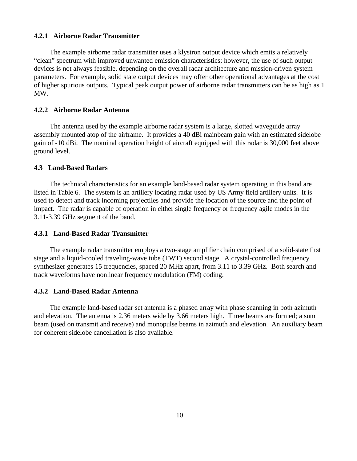#### **4.2.1 Airborne Radar Transmitter**

The example airborne radar transmitter uses a klystron output device which emits a relatively "clean" spectrum with improved unwanted emission characteristics; however, the use of such output devices is not always feasible, depending on the overall radar architecture and mission-driven system parameters. For example, solid state output devices may offer other operational advantages at the cost of higher spurious outputs. Typical peak output power of airborne radar transmitters can be as high as 1 MW.

#### **4.2.2 Airborne Radar Antenna**

The antenna used by the example airborne radar system is a large, slotted waveguide array assembly mounted atop of the airframe. It provides a 40 dBi mainbeam gain with an estimated sidelobe gain of -10 dBi. The nominal operation height of aircraft equipped with this radar is 30,000 feet above ground level.

#### **4.3 Land-Based Radars**

The technical characteristics for an example land-based radar system operating in this band are listed in Table 6. The system is an artillery locating radar used by US Army field artillery units. It is used to detect and track incoming projectiles and provide the location of the source and the point of impact. The radar is capable of operation in either single frequency or frequency agile modes in the 3.11-3.39 GHz segment of the band.

#### **4.3.1 Land-Based Radar Transmitter**

The example radar transmitter employs a two-stage amplifier chain comprised of a solid-state first stage and a liquid-cooled traveling-wave tube (TWT) second stage. A crystal-controlled frequency synthesizer generates 15 frequencies, spaced 20 MHz apart, from 3.11 to 3.39 GHz. Both search and track waveforms have nonlinear frequency modulation (FM) coding.

#### **4.3.2 Land-Based Radar Antenna**

The example land-based radar set antenna is a phased array with phase scanning in both azimuth and elevation. The antenna is 2.36 meters wide by 3.66 meters high. Three beams are formed; a sum beam (used on transmit and receive) and monopulse beams in azimuth and elevation. An auxiliary beam for coherent sidelobe cancellation is also available.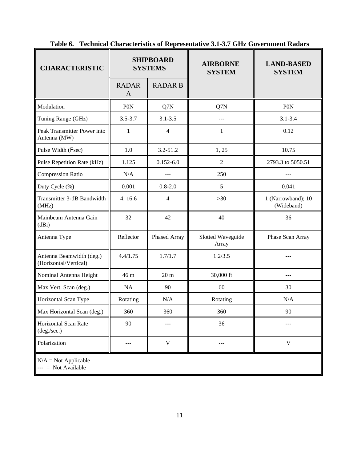| <b>CHARACTERISTIC</b>                             | <b>SHIPBOARD</b><br><b>SYSTEMS</b> |                 | <b>AIRBORNE</b><br><b>SYSTEM</b> | <b>LAND-BASED</b><br><b>SYSTEM</b> |
|---------------------------------------------------|------------------------------------|-----------------|----------------------------------|------------------------------------|
|                                                   | <b>RADAR</b><br>A                  | <b>RADAR B</b>  |                                  |                                    |
| Modulation                                        | P <sub>0</sub> N                   | Q7N             | Q7N                              | <b>PON</b>                         |
| Tuning Range (GHz)                                | $3.5 - 3.7$                        | $3.1 - 3.5$     | ---                              | $3.1 - 3.4$                        |
| Peak Transmitter Power into<br>Antenna (MW)       | 1                                  | $\overline{4}$  | 1                                | 0.12                               |
| Pulse Width (Fsec)                                | 1.0                                | 3.2-51.2        | 1, 25                            | 10.75                              |
| Pulse Repetition Rate (kHz)                       | 1.125                              | $0.152 - 6.0$   | $\overline{2}$                   | 2793.3 to 5050.51                  |
| <b>Compression Ratio</b>                          | N/A                                | $ -$            | 250                              |                                    |
| Duty Cycle (%)                                    | 0.001                              | $0.8 - 2.0$     | 5                                | 0.041                              |
| Transmitter 3-dB Bandwidth<br>(MHz)               | 4, 16.6                            | 4               | $>30$                            | 1 (Narrowband); 10<br>(Wideband)   |
| Mainbeam Antenna Gain<br>(dBi)                    | 32                                 | 42              | 40                               | 36                                 |
| Antenna Type                                      | Reflector                          | Phased Array    | Slotted Waveguide<br>Array       | Phase Scan Array                   |
| Antenna Beamwidth (deg.)<br>(Horizontal/Vertical) | 4.4/1.75                           | 1.7/1.7         | 1.2/3.5                          |                                    |
| Nominal Antenna Height                            | 46 m                               | 20 <sub>m</sub> | 30,000 ft                        | ---                                |
| Max Vert. Scan (deg.)                             | NA                                 | 90              | 60                               | 30                                 |
| Horizontal Scan Type                              | Rotating                           | N/A             | Rotating                         | N/A                                |
| Max Horizontal Scan (deg.)                        | 360                                | 360             | 360                              | 90                                 |
| Horizontal Scan Rate<br>(deg./sec.)               | 90                                 | $---$           | 36                               |                                    |
| Polarization                                      | ---                                | $\mathbf V$     | ---                              | $\mathbf V$                        |
| $N/A = Not Applicable$<br>$---$ Not Available     |                                    |                 |                                  |                                    |

**Table 6. Technical Characteristics of Representative 3.1-3.7 GHz Government Radars**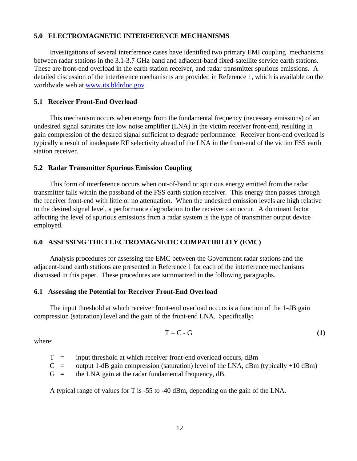#### **5.0 ELECTROMAGNETIC INTERFERENCE MECHANISMS**

Investigations of several interference cases have identified two primary EMI coupling mechanisms between radar stations in the 3.1-3.7 GHz band and adjacent-band fixed-satellite service earth stations. These are front-end overload in the earth station receiver, and radar transmitter spurious emissions. A detailed discussion of the interference mechanisms are provided in Reference 1, which is available on the worldwide web at www.its.bldrdoc.gov.

#### **5.1 Receiver Front-End Overload**

This mechanism occurs when energy from the fundamental frequency (necessary emissions) of an undesired signal saturates the low noise amplifier (LNA) in the victim receiver front-end, resulting in gain compression of the desired signal sufficient to degrade performance. Receiver front-end overload is typically a result of inadequate RF selectivity ahead of the LNA in the front-end of the victim FSS earth station receiver.

#### **5.2 Radar Transmitter Spurious Emission Coupling**

This form of interference occurs when out-of-band or spurious energy emitted from the radar transmitter falls within the passband of the FSS earth station receiver. This energy then passes through the receiver front-end with little or no attenuation. When the undesired emission levels are high relative to the desired signal level, a performance degradation to the receiver can occur. A dominant factor affecting the level of spurious emissions from a radar system is the type of transmitter output device employed.

#### **6.0 ASSESSING THE ELECTROMAGNETIC COMPATIBILITY (EMC)**

Analysis procedures for assessing the EMC between the Government radar stations and the adjacent-band earth stations are presented in Reference 1 for each of the interference mechanisms discussed in this paper. These procedures are summarized in the following paragraphs.

#### **6.1 Assessing the Potential for Receiver Front-End Overload**

The input threshold at which receiver front-end overload occurs is a function of the 1-dB gain compression (saturation) level and the gain of the front-end LNA. Specifically:

$$
T = C - G \tag{1}
$$

where:

- $T =$  input threshold at which receiver front-end overload occurs, dBm
- $C =$  output 1-dB gain compression (saturation) level of the LNA, dBm (typically +10 dBm)
- $G =$  the LNA gain at the radar fundamental frequency, dB.

A typical range of values for T is -55 to -40 dBm, depending on the gain of the LNA.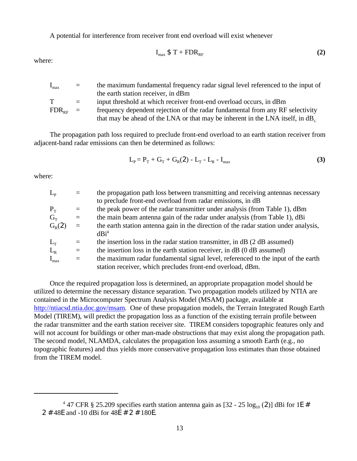A potential for interference from receiver front end overload will exist whenever

Imax \$ T + FDRRF **(2)**

where:

| $I_{\text{max}}$     |     | the maximum fundamental frequency radar signal level referenced to the input of            |
|----------------------|-----|--------------------------------------------------------------------------------------------|
|                      |     | the earth station receiver, in dBm                                                         |
| $\mathbf{T}$         | $=$ | input threshold at which receiver front-end overload occurs, in dBm                        |
| $FDR_{\text{per}}$ = |     | frequency dependent rejection of the radar fundamental from any RF selectivity             |
|                      |     | that may be ahead of the LNA or that may be inherent in the LNA itself, in dB <sub>c</sub> |

The propagation path loss required to preclude front-end overload to an earth station receiver from adjacent-band radar emissions can then be determined as follows:

$$
L_p = P_T + G_T + G_R(2) - L_T - L_R - I_{max}
$$
 (3)

where:

| $L_{\rm p}$ |     | the propagation path loss between transmitting and receiving antennas necessary      |
|-------------|-----|--------------------------------------------------------------------------------------|
|             |     | to preclude front-end overload from radar emissions, in dB                           |
| $P_T$       | $=$ | the peak power of the radar transmitter under analysis (from Table 1), dBm           |
| $G_{\rm T}$ | $=$ | the main beam antenna gain of the radar under analysis (from Table 1), dBi           |
| $G_{R}(2)$  | $=$ | the earth station antenna gain in the direction of the radar station under analysis, |
|             |     | dBi <sup>4</sup>                                                                     |
| $L_T$       | $=$ | the insertion loss in the radar station transmitter, in dB (2 dB assumed)            |
| $L_{R}$     | $=$ | the insertion loss in the earth station receiver, in dB (0 dB assumed)               |
| $I_{max}$   | $=$ | the maximum radar fundamental signal level, referenced to the input of the earth     |
|             |     | station receiver, which precludes front-end overload, dBm.                           |

Once the required propagation loss is determined, an appropriate propagation model should be utilized to determine the necessary distance separation. Two propagation models utilized by NTIA are contained in the Microcomputer Spectrum Analysis Model (MSAM) package, available at http://ntiacsd.ntia.doc.gov/msam. One of these propagation models, the Terrain Integrated Rough Earth Model (TIREM), will predict the propagation loss as a function of the existing terrain profile between the radar transmitter and the earth station receiver site. TIREM considers topographic features only and will not account for buildings or other man-made obstructions that may exist along the propagation path. The second model, NLAMDA, calculates the propagation loss assuming a smooth Earth (e.g., no topographic features) and thus yields more conservative propagation loss estimates than those obtained from the TIREM model.

<sup>&</sup>lt;sup>4</sup> 47 CFR § 25.209 specifies earth station antenna gain as  $[32 - 25 \log_{10}(2)]$  dBi for 1E # 2 # 48E and -10 dBi for 48E # 2 # 180E.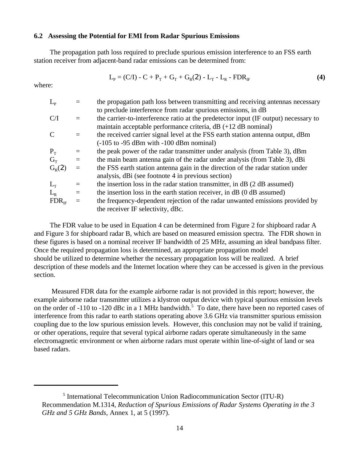#### **6.2 Assessing the Potential for EMI from Radar Spurious Emissions**

The propagation path loss required to preclude spurious emission interference to an FSS earth station receiver from adjacent-band radar emissions can be determined from:

$$
L_{p} = (C/I) - C + P_{T} + G_{T} + G_{R}(2) - L_{T} - L_{R} - FDR_{IF}
$$
\n(4)

where:

| $L_{\rm p}$   |          | the propagation path loss between transmitting and receiving antennas necessary     |
|---------------|----------|-------------------------------------------------------------------------------------|
|               |          | to preclude interference from radar spurious emissions, in dB                       |
| C/I           |          | the carrier-to-interference ratio at the predetector input (IF output) necessary to |
|               |          | maintain acceptable performance criteria, $dB$ (+12 dB nominal)                     |
| $\mathcal{C}$ |          | the received carrier signal level at the FSS earth station antenna output, dBm      |
|               |          | $(-105$ to $-95$ dBm with $-100$ dBm nominal)                                       |
| $P_T$         | $=$      | the peak power of the radar transmitter under analysis (from Table 3), dBm          |
| $G_{\rm T}$   | $\equiv$ | the main beam antenna gain of the radar under analysis (from Table 3), dBi          |
| $G_R(2)$      |          | the FSS earth station antenna gain in the direction of the radar station under      |
|               |          | analysis, dBi (see footnote 4 in previous section)                                  |
| $L_{\rm T}$   |          | the insertion loss in the radar station transmitter, in dB (2 dB assumed)           |
| $L_{\rm R}$   | $=$      | the insertion loss in the earth station receiver, in dB (0 dB assumed)              |
| $FDR_{IF}$    |          | the frequency-dependent rejection of the radar unwanted emissions provided by       |
|               |          | the receiver IF selectivity, dBc.                                                   |
|               |          |                                                                                     |

The FDR value to be used in Equation 4 can be determined from Figure 2 for shipboard radar A and Figure 3 for shipboard radar B, which are based on measured emission spectra. The FDR shown in these figures is based on a nominal receiver IF bandwidth of 25 MHz, assuming an ideal bandpass filter. Once the required propagation loss is determined, an appropriate propagation model should be utilized to determine whether the necessary propagation loss will be realized. A brief description of these models and the Internet location where they can be accessed is given in the previous section.

 Measured FDR data for the example airborne radar is not provided in this report; however, the example airborne radar transmitter utilizes a klystron output device with typical spurious emission levels on the order of -110 to -120 dBc in a 1 MHz bandwidth.<sup>5</sup> To date, there have been no reported cases of interference from this radar to earth stations operating above 3.6 GHz via transmitter spurious emission coupling due to the low spurious emission levels. However, this conclusion may not be valid if training, or other operations, require that several typical airborne radars operate simultaneously in the same electromagnetic environment or when airborne radars must operate within line-of-sight of land or sea based radars.

<sup>&</sup>lt;sup>5</sup> International Telecommunication Union Radiocommunication Sector (ITU-R) Recommendation M.1314, *Reduction of Spurious Emissions of Radar Systems Operating in the 3 GHz and 5 GHz Bands*, Annex 1, at 5 (1997).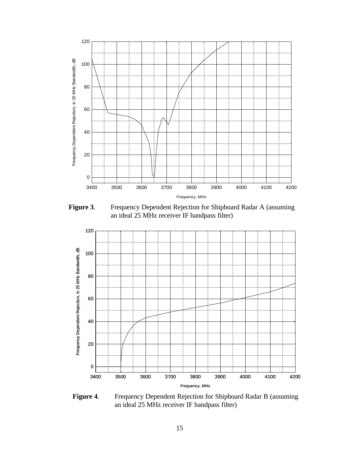

**Figure 3**. Frequency Dependent Rejection for Shipboard Radar A (assuming an ideal 25 MHz receiver IF bandpass filter)



**Figure 4**. Frequency Dependent Rejection for Shipboard Radar B (assuming an ideal 25 MHz receiver IF bandpass filter)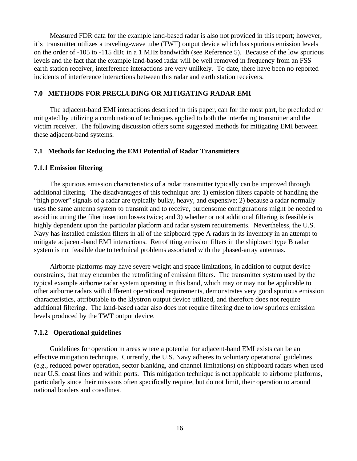Measured FDR data for the example land-based radar is also not provided in this report; however, it's transmitter utilizes a traveling-wave tube (TWT) output device which has spurious emission levels on the order of -105 to -115 dBc in a 1 MHz bandwidth (see Reference 5). Because of the low spurious levels and the fact that the example land-based radar will be well removed in frequency from an FSS earth station receiver, interference interactions are very unlikely. To date, there have been no reported incidents of interference interactions between this radar and earth station receivers.

#### **7.0 METHODS FOR PRECLUDING OR MITIGATING RADAR EMI**

The adjacent-band EMI interactions described in this paper, can for the most part, be precluded or mitigated by utilizing a combination of techniques applied to both the interfering transmitter and the victim receiver. The following discussion offers some suggested methods for mitigating EMI between these adjacent-band systems.

#### **7.1 Methods for Reducing the EMI Potential of Radar Transmitters**

#### **7.1.1 Emission filtering**

The spurious emission characteristics of a radar transmitter typically can be improved through additional filtering. The disadvantages of this technique are: 1) emission filters capable of handling the "high power" signals of a radar are typically bulky, heavy, and expensive; 2) because a radar normally uses the same antenna system to transmit and to receive, burdensome configurations might be needed to avoid incurring the filter insertion losses twice; and 3) whether or not additional filtering is feasible is highly dependent upon the particular platform and radar system requirements. Nevertheless, the U.S. Navy has installed emission filters in all of the shipboard type A radars in its inventory in an attempt to mitigate adjacent-band EMI interactions. Retrofitting emission filters in the shipboard type B radar system is not feasible due to technical problems associated with the phased-array antennas.

Airborne platforms may have severe weight and space limitations, in addition to output device constraints, that may encumber the retrofitting of emission filters. The transmitter system used by the typical example airborne radar system operating in this band, which may or may not be applicable to other airborne radars with different operational requirements, demonstrates very good spurious emission characteristics, attributable to the klystron output device utilized, and therefore does not require additional filtering. The land-based radar also does not require filtering due to low spurious emission levels produced by the TWT output device.

#### **7.1.2 Operational guidelines**

Guidelines for operation in areas where a potential for adjacent-band EMI exists can be an effective mitigation technique. Currently, the U.S. Navy adheres to voluntary operational guidelines (e.g., reduced power operation, sector blanking, and channel limitations) on shipboard radars when used near U.S. coast lines and within ports. This mitigation technique is not applicable to airborne platforms, particularly since their missions often specifically require, but do not limit, their operation to around national borders and coastlines.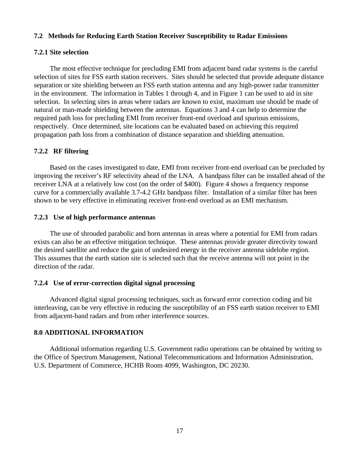#### **7.2 Methods for Reducing Earth Station Receiver Susceptibility to Radar Emissions**

#### **7.2.1 Site selection**

The most effective technique for precluding EMI from adjacent band radar systems is the careful selection of sites for FSS earth station receivers. Sites should be selected that provide adequate distance separation or site shielding between an FSS earth station antenna and any high-power radar transmitter in the environment. The information in Tables 1 through 4, and in Figure 1 can be used to aid in site selection. In selecting sites in areas where radars are known to exist, maximum use should be made of natural or man-made shielding between the antennas. Equations 3 and 4 can help to determine the required path loss for precluding EMI from receiver front-end overload and spurious emissions, respectively. Once determined, site locations can be evaluated based on achieving this required propagation path loss from a combination of distance separation and shielding attenuation.

#### **7.2.2 RF filtering**

Based on the cases investigated to date, EMI from receiver front-end overload can be precluded by improving the receiver's RF selectivity ahead of the LNA. A bandpass filter can be installed ahead of the receiver LNA at a relatively low cost (on the order of \$400). Figure 4 shows a frequency response curve for a commercially available 3.7-4.2 GHz bandpass filter. Installation of a similar filter has been shown to be very effective in eliminating receiver front-end overload as an EMI mechanism.

#### **7.2.3 Use of high performance antennas**

The use of shrouded parabolic and horn antennas in areas where a potential for EMI from radars exists can also be an effective mitigation technique. These antennas provide greater directivity toward the desired satellite and reduce the gain of undesired energy in the receiver antenna sidelobe region. This assumes that the earth station site is selected such that the receive antenna will not point in the direction of the radar.

#### **7.2.4 Use of error-correction digital signal processing**

Advanced digital signal processing techniques, such as forward error correction coding and bit interleaving, can be very effective in reducing the susceptibility of an FSS earth station receiver to EMI from adjacent-band radars and from other interference sources.

#### **8.0 ADDITIONAL INFORMATION**

Additional information regarding U.S. Government radio operations can be obtained by writing to the Office of Spectrum Management, National Telecommunications and Information Administration, U.S. Department of Commerce, HCHB Room 4099, Washington, DC 20230.